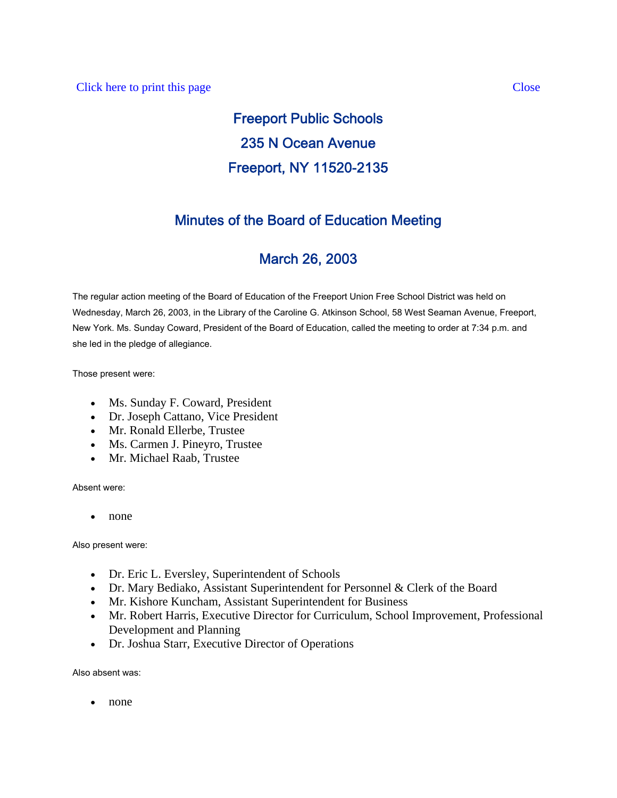# Freeport Public Schools 235 N Ocean Avenue Freeport, NY 11520-2135

# Minutes of the Board of Education Meeting

# March 26, 2003

The regular action meeting of the Board of Education of the Freeport Union Free School District was held on Wednesday, March 26, 2003, in the Library of the Caroline G. Atkinson School, 58 West Seaman Avenue, Freeport, New York. Ms. Sunday Coward, President of the Board of Education, called the meeting to order at 7:34 p.m. and she led in the pledge of allegiance.

Those present were:

- Ms. Sunday F. Coward, President
- Dr. Joseph Cattano, Vice President
- Mr. Ronald Ellerbe, Trustee
- Ms. Carmen J. Pineyro, Trustee
- Mr. Michael Raab, Trustee

Absent were:

• none

Also present were:

- Dr. Eric L. Eversley, Superintendent of Schools
- Dr. Mary Bediako, Assistant Superintendent for Personnel & Clerk of the Board
- Mr. Kishore Kuncham, Assistant Superintendent for Business
- Mr. Robert Harris, Executive Director for Curriculum, School Improvement, Professional Development and Planning
- Dr. Joshua Starr, Executive Director of Operations

Also absent was:

• none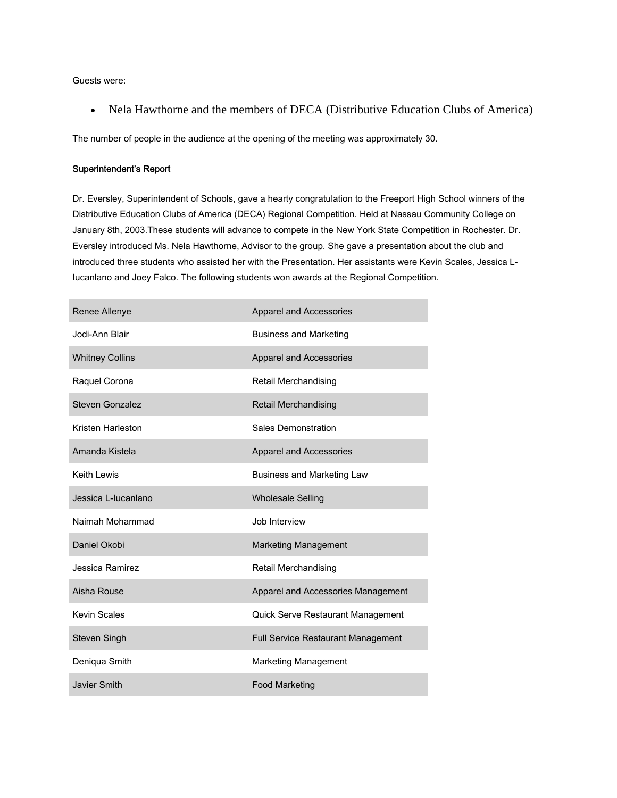Guests were:

• Nela Hawthorne and the members of DECA (Distributive Education Clubs of America)

The number of people in the audience at the opening of the meeting was approximately 30.

# Superintendent's Report

Dr. Eversley, Superintendent of Schools, gave a hearty congratulation to the Freeport High School winners of the Distributive Education Clubs of America (DECA) Regional Competition. Held at Nassau Community College on January 8th, 2003.These students will advance to compete in the New York State Competition in Rochester. Dr. Eversley introduced Ms. Nela Hawthorne, Advisor to the group. She gave a presentation about the club and introduced three students who assisted her with the Presentation. Her assistants were Kevin Scales, Jessica L-Iucanlano and Joey Falco. The following students won awards at the Regional Competition.

| Renee Allenye          | <b>Apparel and Accessories</b>            |
|------------------------|-------------------------------------------|
| Jodi-Ann Blair         | <b>Business and Marketing</b>             |
| <b>Whitney Collins</b> | Apparel and Accessories                   |
| Raquel Corona          | Retail Merchandising                      |
| Steven Gonzalez        | Retail Merchandising                      |
| Kristen Harleston      | Sales Demonstration                       |
| Amanda Kistela         | Apparel and Accessories                   |
| Keith I ewis           | Business and Marketing Law                |
| Jessica L-Iucanlano    | <b>Wholesale Selling</b>                  |
| Naimah Mohammad        | Job Interview                             |
| Daniel Okobi           | Marketing Management                      |
| Jessica Ramirez        | Retail Merchandising                      |
| Aisha Rouse            | Apparel and Accessories Management        |
| <b>Kevin Scales</b>    | Quick Serve Restaurant Management         |
| Steven Singh           | <b>Full Service Restaurant Management</b> |
| Deniqua Smith          | Marketing Management                      |
| <b>Javier Smith</b>    | <b>Food Marketing</b>                     |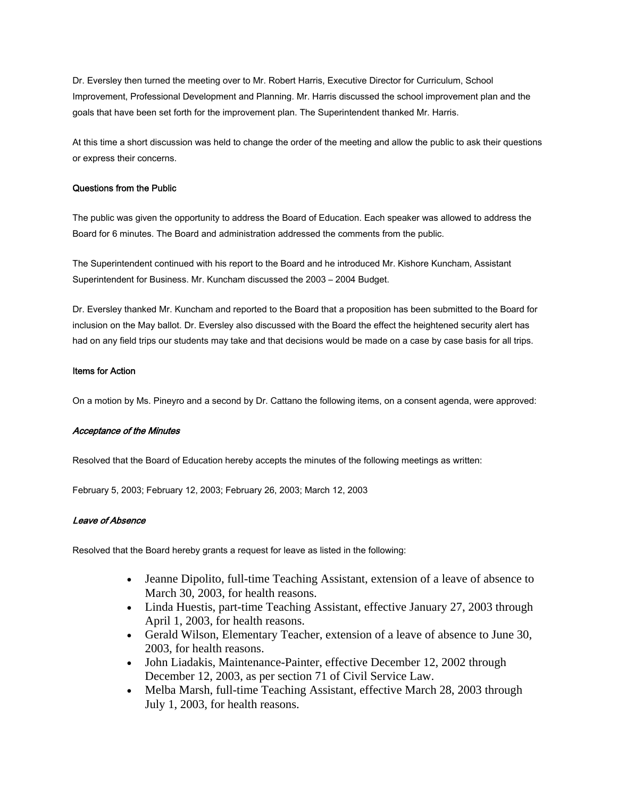Dr. Eversley then turned the meeting over to Mr. Robert Harris, Executive Director for Curriculum, School Improvement, Professional Development and Planning. Mr. Harris discussed the school improvement plan and the goals that have been set forth for the improvement plan. The Superintendent thanked Mr. Harris.

At this time a short discussion was held to change the order of the meeting and allow the public to ask their questions or express their concerns.

#### Questions from the Public

The public was given the opportunity to address the Board of Education. Each speaker was allowed to address the Board for 6 minutes. The Board and administration addressed the comments from the public.

The Superintendent continued with his report to the Board and he introduced Mr. Kishore Kuncham, Assistant Superintendent for Business. Mr. Kuncham discussed the 2003 – 2004 Budget.

Dr. Eversley thanked Mr. Kuncham and reported to the Board that a proposition has been submitted to the Board for inclusion on the May ballot. Dr. Eversley also discussed with the Board the effect the heightened security alert has had on any field trips our students may take and that decisions would be made on a case by case basis for all trips.

#### Items for Action

On a motion by Ms. Pineyro and a second by Dr. Cattano the following items, on a consent agenda, were approved:

#### Acceptance of the Minutes

Resolved that the Board of Education hereby accepts the minutes of the following meetings as written:

February 5, 2003; February 12, 2003; February 26, 2003; March 12, 2003

#### Leave of Absence

Resolved that the Board hereby grants a request for leave as listed in the following:

- Jeanne Dipolito, full-time Teaching Assistant, extension of a leave of absence to March 30, 2003, for health reasons.
- Linda Huestis, part-time Teaching Assistant, effective January 27, 2003 through April 1, 2003, for health reasons.
- Gerald Wilson, Elementary Teacher, extension of a leave of absence to June 30, 2003, for health reasons.
- John Liadakis, Maintenance-Painter, effective December 12, 2002 through December 12, 2003, as per section 71 of Civil Service Law.
- Melba Marsh, full-time Teaching Assistant, effective March 28, 2003 through July 1, 2003, for health reasons.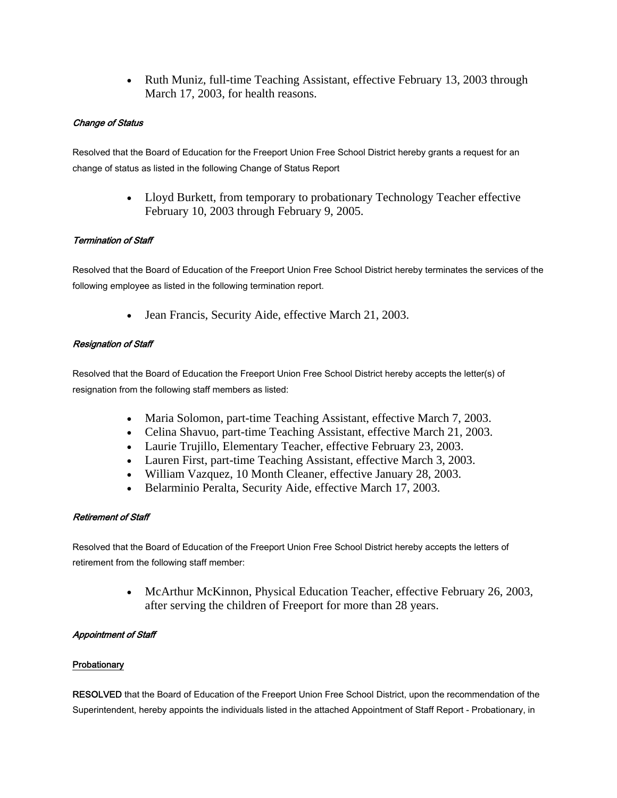• Ruth Muniz, full-time Teaching Assistant, effective February 13, 2003 through March 17, 2003, for health reasons.

# Change of Status

Resolved that the Board of Education for the Freeport Union Free School District hereby grants a request for an change of status as listed in the following Change of Status Report

> • Lloyd Burkett, from temporary to probationary Technology Teacher effective February 10, 2003 through February 9, 2005.

# Termination of Staff

Resolved that the Board of Education of the Freeport Union Free School District hereby terminates the services of the following employee as listed in the following termination report.

• Jean Francis, Security Aide, effective March 21, 2003.

# Resignation of Staff

Resolved that the Board of Education the Freeport Union Free School District hereby accepts the letter(s) of resignation from the following staff members as listed:

- Maria Solomon, part-time Teaching Assistant, effective March 7, 2003.
- Celina Shavuo, part-time Teaching Assistant, effective March 21, 2003.
- Laurie Trujillo, Elementary Teacher, effective February 23, 2003.
- Lauren First, part-time Teaching Assistant, effective March 3, 2003.
- William Vazquez, 10 Month Cleaner, effective January 28, 2003.
- Belarminio Peralta, Security Aide, effective March 17, 2003.

### Retirement of Staff

Resolved that the Board of Education of the Freeport Union Free School District hereby accepts the letters of retirement from the following staff member:

> • McArthur McKinnon, Physical Education Teacher, effective February 26, 2003, after serving the children of Freeport for more than 28 years.

### Appointment of Staff

### **Probationary**

RESOLVED that the Board of Education of the Freeport Union Free School District, upon the recommendation of the Superintendent, hereby appoints the individuals listed in the attached Appointment of Staff Report - Probationary, in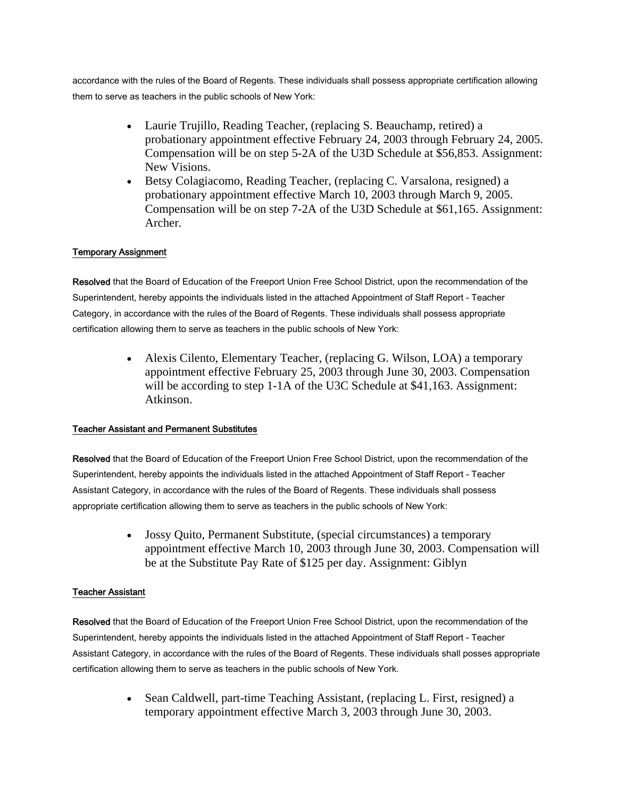accordance with the rules of the Board of Regents. These individuals shall possess appropriate certification allowing them to serve as teachers in the public schools of New York:

- Laurie Trujillo, Reading Teacher, (replacing S. Beauchamp, retired) a probationary appointment effective February 24, 2003 through February 24, 2005. Compensation will be on step 5-2A of the U3D Schedule at \$56,853. Assignment: New Visions.
- Betsy Colagiacomo, Reading Teacher, (replacing C. Varsalona, resigned) a probationary appointment effective March 10, 2003 through March 9, 2005. Compensation will be on step 7-2A of the U3D Schedule at \$61,165. Assignment: Archer.

# Temporary Assignment

Resolved that the Board of Education of the Freeport Union Free School District, upon the recommendation of the Superintendent, hereby appoints the individuals listed in the attached Appointment of Staff Report - Teacher Category, in accordance with the rules of the Board of Regents. These individuals shall possess appropriate certification allowing them to serve as teachers in the public schools of New York:

> • Alexis Cilento, Elementary Teacher, (replacing G. Wilson, LOA) a temporary appointment effective February 25, 2003 through June 30, 2003. Compensation will be according to step 1-1A of the U3C Schedule at \$41,163. Assignment: Atkinson.

### Teacher Assistant and Permanent Substitutes

Resolved that the Board of Education of the Freeport Union Free School District, upon the recommendation of the Superintendent, hereby appoints the individuals listed in the attached Appointment of Staff Report - Teacher Assistant Category, in accordance with the rules of the Board of Regents. These individuals shall possess appropriate certification allowing them to serve as teachers in the public schools of New York:

> • Jossy Quito, Permanent Substitute, (special circumstances) a temporary appointment effective March 10, 2003 through June 30, 2003. Compensation will be at the Substitute Pay Rate of \$125 per day. Assignment: Giblyn

### Teacher Assistant

Resolved that the Board of Education of the Freeport Union Free School District, upon the recommendation of the Superintendent, hereby appoints the individuals listed in the attached Appointment of Staff Report - Teacher Assistant Category, in accordance with the rules of the Board of Regents. These individuals shall posses appropriate certification allowing them to serve as teachers in the public schools of New York.

> • Sean Caldwell, part-time Teaching Assistant, (replacing L. First, resigned) a temporary appointment effective March 3, 2003 through June 30, 2003.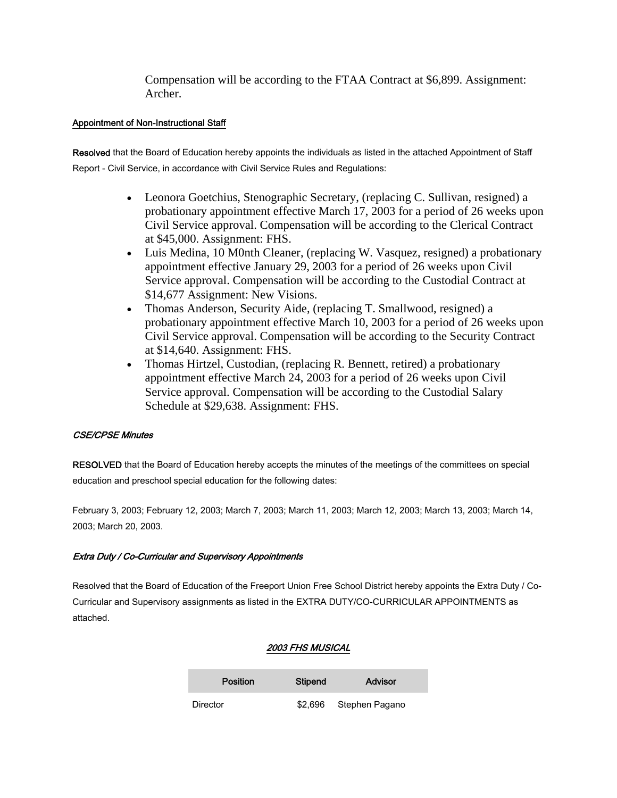Compensation will be according to the FTAA Contract at \$6,899. Assignment: Archer.

# Appointment of Non-Instructional Staff

Resolved that the Board of Education hereby appoints the individuals as listed in the attached Appointment of Staff Report - Civil Service, in accordance with Civil Service Rules and Regulations:

- Leonora Goetchius, Stenographic Secretary, (replacing C. Sullivan, resigned) a probationary appointment effective March 17, 2003 for a period of 26 weeks upon Civil Service approval. Compensation will be according to the Clerical Contract at \$45,000. Assignment: FHS.
- Luis Medina, 10 M0nth Cleaner, (replacing W. Vasquez, resigned) a probationary appointment effective January 29, 2003 for a period of 26 weeks upon Civil Service approval. Compensation will be according to the Custodial Contract at \$14,677 Assignment: New Visions.
- Thomas Anderson, Security Aide, (replacing T. Smallwood, resigned) a probationary appointment effective March 10, 2003 for a period of 26 weeks upon Civil Service approval. Compensation will be according to the Security Contract at \$14,640. Assignment: FHS.
- Thomas Hirtzel, Custodian, (replacing R. Bennett, retired) a probationary appointment effective March 24, 2003 for a period of 26 weeks upon Civil Service approval. Compensation will be according to the Custodial Salary Schedule at \$29,638. Assignment: FHS.

# CSE/CPSE Minutes

RESOLVED that the Board of Education hereby accepts the minutes of the meetings of the committees on special education and preschool special education for the following dates:

February 3, 2003; February 12, 2003; March 7, 2003; March 11, 2003; March 12, 2003; March 13, 2003; March 14, 2003; March 20, 2003.

# Extra Duty / Co-Curricular and Supervisory Appointments

Resolved that the Board of Education of the Freeport Union Free School District hereby appoints the Extra Duty / Co-Curricular and Supervisory assignments as listed in the EXTRA DUTY/CO-CURRICULAR APPOINTMENTS as attached.

| Position | Stipend | Advisor        |  |
|----------|---------|----------------|--|
| Director | \$2.696 | Stephen Pagano |  |

2003 FHS MUSICAL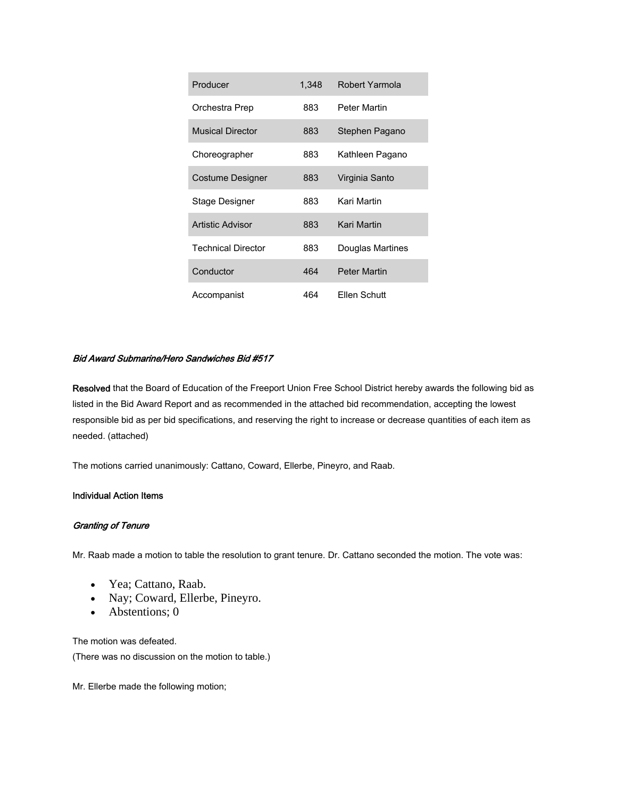| Producer                  | 1,348 | Robert Yarmola      |
|---------------------------|-------|---------------------|
| Orchestra Prep            | 883   | <b>Peter Martin</b> |
| <b>Musical Director</b>   | 883   | Stephen Pagano      |
| Choreographer             | 883   | Kathleen Pagano     |
| Costume Designer          | 883   | Virginia Santo      |
| Stage Designer            | 883   | Kari Martin         |
| <b>Artistic Advisor</b>   | 883   | Kari Martin         |
| <b>Technical Director</b> | 883   | Douglas Martines    |
| Conductor                 | 464   | <b>Peter Martin</b> |
| Accompanist               | 464   | Fllen Schutt        |

### Bid Award Submarine/Hero Sandwiches Bid #517

Resolved that the Board of Education of the Freeport Union Free School District hereby awards the following bid as listed in the Bid Award Report and as recommended in the attached bid recommendation, accepting the lowest responsible bid as per bid specifications, and reserving the right to increase or decrease quantities of each item as needed. (attached)

The motions carried unanimously: Cattano, Coward, Ellerbe, Pineyro, and Raab.

#### Individual Action Items

#### Granting of Tenure

Mr. Raab made a motion to table the resolution to grant tenure. Dr. Cattano seconded the motion. The vote was:

- Yea; Cattano, Raab.
- Nay; Coward, Ellerbe, Pineyro.
- Abstentions; 0

The motion was defeated.

(There was no discussion on the motion to table.)

Mr. Ellerbe made the following motion;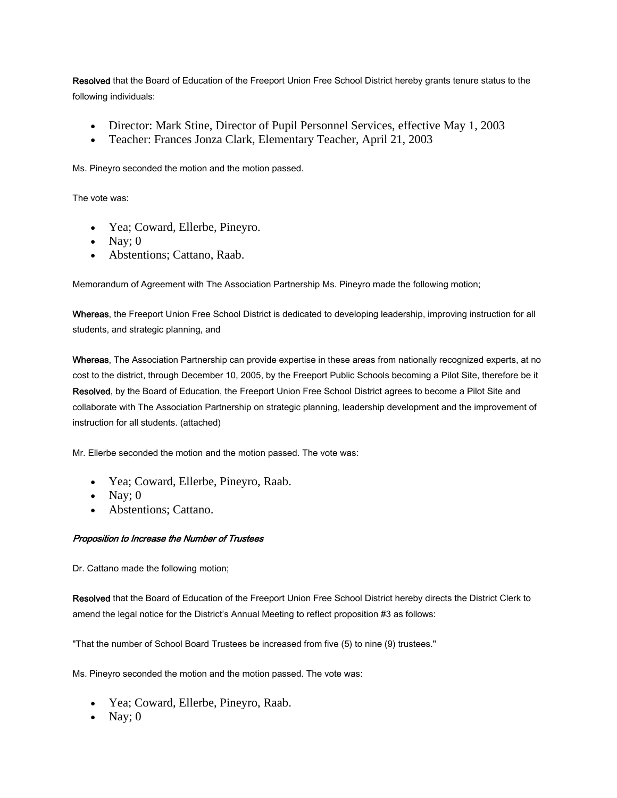Resolved that the Board of Education of the Freeport Union Free School District hereby grants tenure status to the following individuals:

- Director: Mark Stine, Director of Pupil Personnel Services, effective May 1, 2003
- Teacher: Frances Jonza Clark, Elementary Teacher, April 21, 2003

Ms. Pineyro seconded the motion and the motion passed.

The vote was:

- Yea; Coward, Ellerbe, Pineyro.
- Nay;  $0$
- Abstentions; Cattano, Raab.

Memorandum of Agreement with The Association Partnership Ms. Pineyro made the following motion;

Whereas, the Freeport Union Free School District is dedicated to developing leadership, improving instruction for all students, and strategic planning, and

Whereas, The Association Partnership can provide expertise in these areas from nationally recognized experts, at no cost to the district, through December 10, 2005, by the Freeport Public Schools becoming a Pilot Site, therefore be it Resolved, by the Board of Education, the Freeport Union Free School District agrees to become a Pilot Site and collaborate with The Association Partnership on strategic planning, leadership development and the improvement of instruction for all students. (attached)

Mr. Ellerbe seconded the motion and the motion passed. The vote was:

- Yea; Coward, Ellerbe, Pineyro, Raab.
- Nay;  $0$
- Abstentions; Cattano.

### Proposition to Increase the Number of Trustees

Dr. Cattano made the following motion;

Resolved that the Board of Education of the Freeport Union Free School District hereby directs the District Clerk to amend the legal notice for the District's Annual Meeting to reflect proposition #3 as follows:

"That the number of School Board Trustees be increased from five (5) to nine (9) trustees."

Ms. Pineyro seconded the motion and the motion passed. The vote was:

- Yea; Coward, Ellerbe, Pineyro, Raab.
- Nay;  $0$